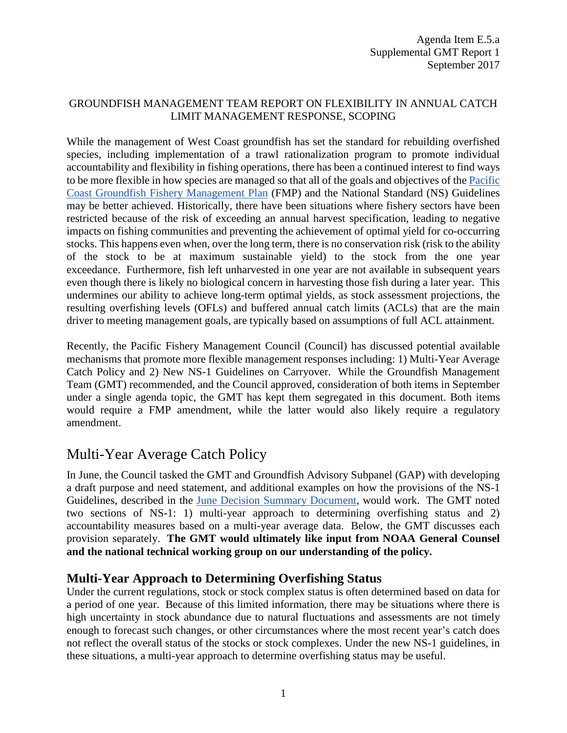### GROUNDFISH MANAGEMENT TEAM REPORT ON FLEXIBILITY IN ANNUAL CATCH LIMIT MANAGEMENT RESPONSE, SCOPING

While the management of West Coast groundfish has set the standard for rebuilding overfished species, including implementation of a trawl rationalization program to promote individual accountability and flexibility in fishing operations, there has been a continued interest to find ways to be more flexible in how species are managed so that all of the goals and objectives of th[e Pacific](http://www.pcouncil.org/wp-content/uploads/2017/03/GF_FMP_FinalThruA27-Aug2016.pdf)  [Coast Groundfish Fishery Management Plan](http://www.pcouncil.org/wp-content/uploads/2017/03/GF_FMP_FinalThruA27-Aug2016.pdf) (FMP) and the National Standard (NS) Guidelines may be better achieved. Historically, there have been situations where fishery sectors have been restricted because of the risk of exceeding an annual harvest specification, leading to negative impacts on fishing communities and preventing the achievement of optimal yield for co-occurring stocks. This happens even when, over the long term, there is no conservation risk (risk to the ability of the stock to be at maximum sustainable yield) to the stock from the one year exceedance. Furthermore, fish left unharvested in one year are not available in subsequent years even though there is likely no biological concern in harvesting those fish during a later year. This undermines our ability to achieve long-term optimal yields, as stock assessment projections, the resulting overfishing levels (OFLs) and buffered annual catch limits (ACLs) that are the main driver to meeting management goals, are typically based on assumptions of full ACL attainment.

Recently, the Pacific Fishery Management Council (Council) has discussed potential available mechanisms that promote more flexible management responses including: 1) Multi-Year Average Catch Policy and 2) New NS-1 Guidelines on Carryover. While the Groundfish Management Team (GMT) recommended, and the Council approved, consideration of both items in September under a single agenda topic, the GMT has kept them segregated in this document. Both items would require a FMP amendment, while the latter would also likely require a regulatory amendment.

# Multi-Year Average Catch Policy

In June, the Council tasked the GMT and Groundfish Advisory Subpanel (GAP) with developing a draft purpose and need statement, and additional examples on how the provisions of the NS-1 Guidelines, described in the [June Decision Summary Document,](http://www.pcouncil.org/wp-content/uploads/2017/06/JuneDecisionSummaryDocument.pdf) would work. The GMT noted two sections of NS-1: 1) multi-year approach to determining overfishing status and 2) accountability measures based on a multi-year average data. Below, the GMT discusses each provision separately. **The GMT would ultimately like input from NOAA General Counsel and the national technical working group on our understanding of the policy.**

# **Multi-Year Approach to Determining Overfishing Status**

Under the current regulations, stock or stock complex status is often determined based on data for a period of one year. Because of this limited information, there may be situations where there is high uncertainty in stock abundance due to natural fluctuations and assessments are not timely enough to forecast such changes, or other circumstances where the most recent year's catch does not reflect the overall status of the stocks or stock complexes. Under the new NS-1 guidelines, in these situations, a multi-year approach to determine overfishing status may be useful.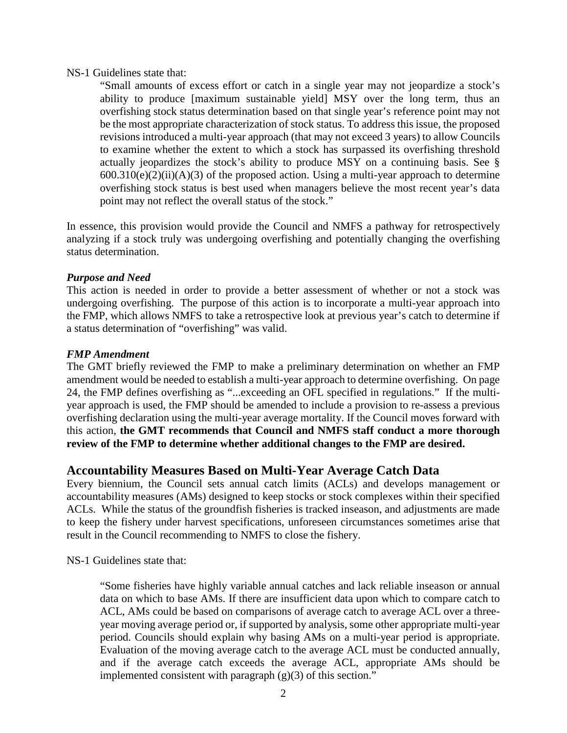#### NS-1 Guidelines state that:

"Small amounts of excess effort or catch in a single year may not jeopardize a stock's ability to produce [maximum sustainable yield] MSY over the long term, thus an overfishing stock status determination based on that single year's reference point may not be the most appropriate characterization of stock status. To address this issue, the proposed revisions introduced a multi-year approach (that may not exceed 3 years) to allow Councils to examine whether the extent to which a stock has surpassed its overfishing threshold actually jeopardizes the stock's ability to produce MSY on a continuing basis. See §  $600.310(e)(2)(ii)(A)(3)$  of the proposed action. Using a multi-year approach to determine overfishing stock status is best used when managers believe the most recent year's data point may not reflect the overall status of the stock."

In essence, this provision would provide the Council and NMFS a pathway for retrospectively analyzing if a stock truly was undergoing overfishing and potentially changing the overfishing status determination.

#### *Purpose and Need*

This action is needed in order to provide a better assessment of whether or not a stock was undergoing overfishing. The purpose of this action is to incorporate a multi-year approach into the FMP, which allows NMFS to take a retrospective look at previous year's catch to determine if a status determination of "overfishing" was valid.

#### *FMP Amendment*

The GMT briefly reviewed the FMP to make a preliminary determination on whether an FMP amendment would be needed to establish a multi-year approach to determine overfishing. On page 24, the FMP defines overfishing as "...exceeding an OFL specified in regulations." If the multiyear approach is used, the FMP should be amended to include a provision to re-assess a previous overfishing declaration using the multi-year average mortality. If the Council moves forward with this action, **the GMT recommends that Council and NMFS staff conduct a more thorough review of the FMP to determine whether additional changes to the FMP are desired.**

## **Accountability Measures Based on Multi-Year Average Catch Data**

Every biennium, the Council sets annual catch limits (ACLs) and develops management or accountability measures (AMs) designed to keep stocks or stock complexes within their specified ACLs. While the status of the groundfish fisheries is tracked inseason, and adjustments are made to keep the fishery under harvest specifications, unforeseen circumstances sometimes arise that result in the Council recommending to NMFS to close the fishery.

NS-1 Guidelines state that:

"Some fisheries have highly variable annual catches and lack reliable inseason or annual data on which to base AMs. If there are insufficient data upon which to compare catch to ACL, AMs could be based on comparisons of average catch to average ACL over a threeyear moving average period or, if supported by analysis, some other appropriate multi-year period. Councils should explain why basing AMs on a multi-year period is appropriate. Evaluation of the moving average catch to the average ACL must be conducted annually, and if the average catch exceeds the average ACL, appropriate AMs should be implemented consistent with paragraph  $(g)(3)$  of this section."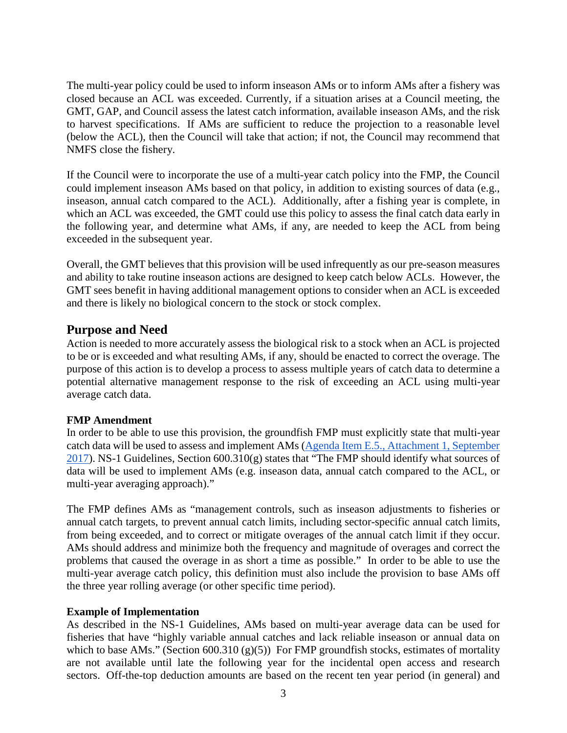The multi-year policy could be used to inform inseason AMs or to inform AMs after a fishery was closed because an ACL was exceeded. Currently, if a situation arises at a Council meeting, the GMT, GAP, and Council assess the latest catch information, available inseason AMs, and the risk to harvest specifications. If AMs are sufficient to reduce the projection to a reasonable level (below the ACL), then the Council will take that action; if not, the Council may recommend that NMFS close the fishery.

If the Council were to incorporate the use of a multi-year catch policy into the FMP, the Council could implement inseason AMs based on that policy, in addition to existing sources of data (e.g., inseason, annual catch compared to the ACL). Additionally, after a fishing year is complete, in which an ACL was exceeded, the GMT could use this policy to assess the final catch data early in the following year, and determine what AMs, if any, are needed to keep the ACL from being exceeded in the subsequent year.

Overall, the GMT believes that this provision will be used infrequently as our pre-season measures and ability to take routine inseason actions are designed to keep catch below ACLs. However, the GMT sees benefit in having additional management options to consider when an ACL is exceeded and there is likely no biological concern to the stock or stock complex.

## **Purpose and Need**

Action is needed to more accurately assess the biological risk to a stock when an ACL is projected to be or is exceeded and what resulting AMs, if any, should be enacted to correct the overage. The purpose of this action is to develop a process to assess multiple years of catch data to determine a potential alternative management response to the risk of exceeding an ACL using multi-year average catch data.

### **FMP Amendment**

In order to be able to use this provision, the groundfish FMP must explicitly state that multi-year catch data will be used to assess and implement AMs [\(Agenda Item E.5., Attachment 1, September](http://www.pcouncil.org/wp-content/uploads/2017/08/E5_Att1_NS1_Guidelines_SEPT2017BB.pdf)  [2017\)](http://www.pcouncil.org/wp-content/uploads/2017/08/E5_Att1_NS1_Guidelines_SEPT2017BB.pdf). NS-1 Guidelines, Section 600.310(g) states that "The FMP should identify what sources of data will be used to implement AMs (e.g. inseason data, annual catch compared to the ACL, or multi-year averaging approach)."

The FMP defines AMs as "management controls, such as inseason adjustments to fisheries or annual catch targets, to prevent annual catch limits, including sector-specific annual catch limits, from being exceeded, and to correct or mitigate overages of the annual catch limit if they occur. AMs should address and minimize both the frequency and magnitude of overages and correct the problems that caused the overage in as short a time as possible." In order to be able to use the multi-year average catch policy, this definition must also include the provision to base AMs off the three year rolling average (or other specific time period).

### **Example of Implementation**

As described in the NS-1 Guidelines, AMs based on multi-year average data can be used for fisheries that have "highly variable annual catches and lack reliable inseason or annual data on which to base AMs." (Section 600.310 (g)(5)) For FMP groundfish stocks, estimates of mortality are not available until late the following year for the incidental open access and research sectors. Off-the-top deduction amounts are based on the recent ten year period (in general) and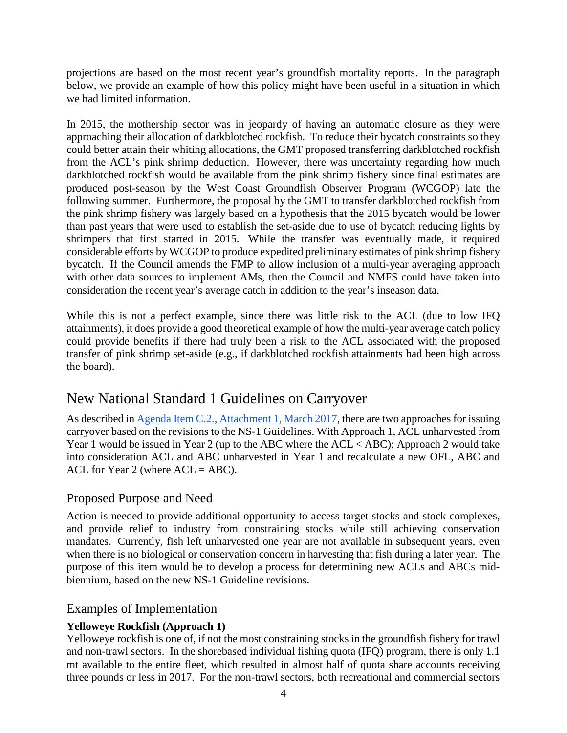projections are based on the most recent year's groundfish mortality reports. In the paragraph below, we provide an example of how this policy might have been useful in a situation in which we had limited information.

In 2015, the mothership sector was in jeopardy of having an automatic closure as they were approaching their allocation of darkblotched rockfish. To reduce their bycatch constraints so they could better attain their whiting allocations, the GMT proposed transferring darkblotched rockfish from the ACL's pink shrimp deduction. However, there was uncertainty regarding how much darkblotched rockfish would be available from the pink shrimp fishery since final estimates are produced post-season by the West Coast Groundfish Observer Program (WCGOP) late the following summer. Furthermore, the proposal by the GMT to transfer darkblotched rockfish from the pink shrimp fishery was largely based on a hypothesis that the 2015 bycatch would be lower than past years that were used to establish the set-aside due to use of bycatch reducing lights by shrimpers that first started in 2015. While the transfer was eventually made, it required considerable efforts by WCGOP to produce expedited preliminary estimates of pink shrimp fishery bycatch. If the Council amends the FMP to allow inclusion of a multi-year averaging approach with other data sources to implement AMs, then the Council and NMFS could have taken into consideration the recent year's average catch in addition to the year's inseason data.

While this is not a perfect example, since there was little risk to the ACL (due to low IFQ attainments), it does provide a good theoretical example of how the multi-year average catch policy could provide benefits if there had truly been a risk to the ACL associated with the proposed transfer of pink shrimp set-aside (e.g., if darkblotched rockfish attainments had been high across the board).

# New National Standard 1 Guidelines on Carryover

As described i[n Agenda Item C.2., Attachment 1, March 2017,](http://www.pcouncil.org/wp-content/uploads/2017/02/C2_Att1_Considerations_for_Carryover_Provisions_Mar2017BB.pdf) there are two approaches for issuing carryover based on the revisions to the NS-1 Guidelines. With Approach 1, ACL unharvested from Year 1 would be issued in Year 2 (up to the ABC where the ACL < ABC); Approach 2 would take into consideration ACL and ABC unharvested in Year 1 and recalculate a new OFL, ABC and ACL for Year 2 (where  $ACL = ABC$ ).

# Proposed Purpose and Need

Action is needed to provide additional opportunity to access target stocks and stock complexes, and provide relief to industry from constraining stocks while still achieving conservation mandates. Currently, fish left unharvested one year are not available in subsequent years, even when there is no biological or conservation concern in harvesting that fish during a later year. The purpose of this item would be to develop a process for determining new ACLs and ABCs midbiennium, based on the new NS-1 Guideline revisions.

# Examples of Implementation

# **Yelloweye Rockfish (Approach 1)**

Yelloweye rockfish is one of, if not the most constraining stocks in the groundfish fishery for trawl and non-trawl sectors. In the shorebased individual fishing quota (IFQ) program, there is only 1.1 mt available to the entire fleet, which resulted in almost half of quota share accounts receiving three pounds or less in 2017. For the non-trawl sectors, both recreational and commercial sectors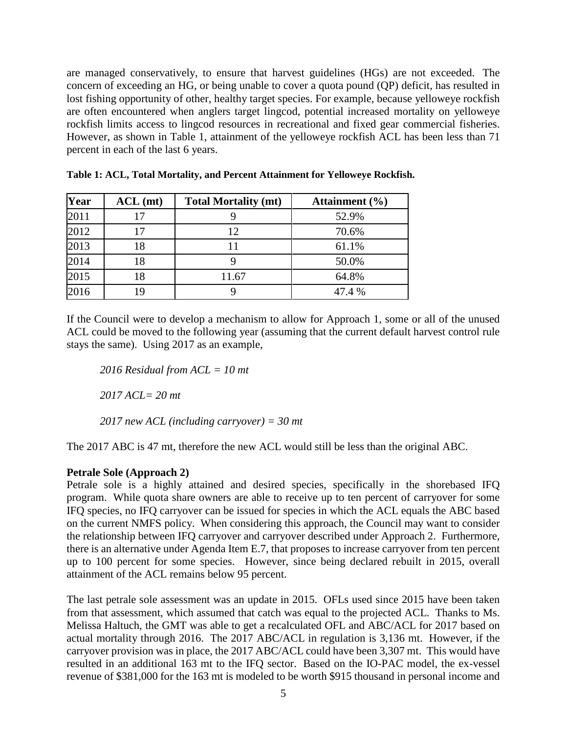are managed conservatively, to ensure that harvest guidelines (HGs) are not exceeded. The concern of exceeding an HG, or being unable to cover a quota pound (QP) deficit, has resulted in lost fishing opportunity of other, healthy target species. For example, because yelloweye rockfish are often encountered when anglers target lingcod, potential increased mortality on yelloweye rockfish limits access to lingcod resources in recreational and fixed gear commercial fisheries. However, as shown in Table 1, attainment of the yelloweye rockfish ACL has been less than 71 percent in each of the last 6 years.

| Year | $ACL$ (mt) | <b>Total Mortality (mt)</b> | Attainment $(\% )$ |
|------|------------|-----------------------------|--------------------|
| 2011 | 17         |                             | 52.9%              |
| 2012 | 17         | 12                          | 70.6%              |
| 2013 | 18         | 11                          | 61.1%              |
| 2014 | 18         |                             | 50.0%              |
| 2015 | 18         | 11.67                       | 64.8%              |
| 2016 | 19         |                             | 47.4 %             |

**Table 1: ACL, Total Mortality, and Percent Attainment for Yelloweye Rockfish.**

If the Council were to develop a mechanism to allow for Approach 1, some or all of the unused ACL could be moved to the following year (assuming that the current default harvest control rule stays the same). Using 2017 as an example,

*2016 Residual from ACL = 10 mt*

*2017 ACL= 20 mt*

*2017 new ACL (including carryover) = 30 mt*

The 2017 ABC is 47 mt, therefore the new ACL would still be less than the original ABC.

#### **Petrale Sole (Approach 2)**

Petrale sole is a highly attained and desired species, specifically in the shorebased IFQ program. While quota share owners are able to receive up to ten percent of carryover for some IFQ species, no IFQ carryover can be issued for species in which the ACL equals the ABC based on the current NMFS policy. When considering this approach, the Council may want to consider the relationship between IFQ carryover and carryover described under Approach 2. Furthermore, there is an alternative under Agenda Item E.7, that proposes to increase carryover from ten percent up to 100 percent for some species. However, since being declared rebuilt in 2015, overall attainment of the ACL remains below 95 percent.

The last petrale sole assessment was an update in 2015. OFLs used since 2015 have been taken from that assessment, which assumed that catch was equal to the projected ACL. Thanks to Ms. Melissa Haltuch, the GMT was able to get a recalculated OFL and ABC/ACL for 2017 based on actual mortality through 2016. The 2017 ABC/ACL in regulation is 3,136 mt. However, if the carryover provision was in place, the 2017 ABC/ACL could have been 3,307 mt. This would have resulted in an additional 163 mt to the IFQ sector. Based on the IO-PAC model, the ex-vessel revenue of \$381,000 for the 163 mt is modeled to be worth \$915 thousand in personal income and